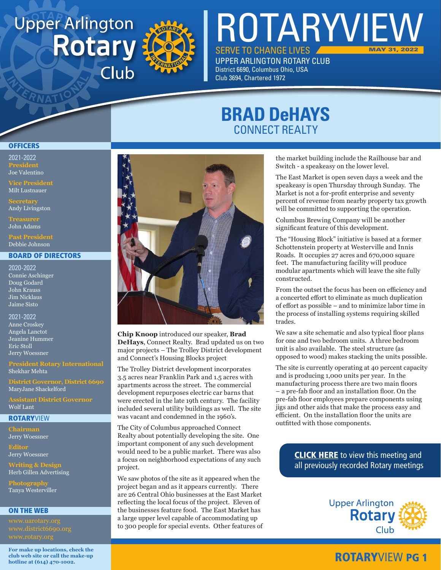# **Upper Arlington Rotary** Club



ROTARYVIEW SERVE TO CHANGE LIVES **UPPER ARLINGTON ROTARY CLUB** District 6690, Columbus Ohio, USA MAY 31, 2022

**BRAD DeHAYS** CONNECT REALTY

Club 3694, Chartered 1972

### **OFFICERS**

2021-2022 **President** Joe Valentino

Milt Lustnauer

Andy Livingston

John Adams

Debbie Johnson

#### BOARD OF DIRECTORS

2020-2022 Connie Aschinger Doug Godard John Krauss Jim Nicklaus Jaime Sisto

2021-2022 Anne Croskey Angela Lanctot Jeanine Hummer Eric Stoll Jerry Woessner

### Shekhar Mehta

**District Governor, District 6690** MaryJane Shackelford

Wolf Lant

#### **ROTARYVIEW**

**Chairman** Jerry Woessner

**Editor** Jerry Woessner

**Writing & Design** Herb Gillen Advertising

**Photography** Tanya Westerviller

#### ON THE WEB

**For make up locations, check the club web site or call the make-up hotline at (614) 470-1002.**



**Chip Knoop** introduced our speaker, **Brad DeHays**, Connect Realty. Brad updated us on two major projects – The Trolley District development and Connect's Housing Blocks project

The Trolley District development incorporates 3.5 acres near Franklin Park and 1.5 acres with apartments across the street. The commercial development repurposes electric car barns that were erected in the late 19th century. The facility included several utility buildings as well. The site was vacant and condemned in the 1960's.

The City of Columbus approached Connect Realty about potentially developing the site. One important component of any such development would need to be a public market. There was also a focus on neighborhood expectations of any such project.

We saw photos of the site as it appeared when the project began and as it appears currently. There are 26 Central Ohio businesses at the East Market reflecting the local focus of the project. Eleven of the businesses feature food. The East Market has a large upper level capable of accommodating up to 300 people for special events. Other features of the market building include the Railhouse bar and Switch - a speakeasy on the lower level.

The East Market is open seven days a week and the speakeasy is open Thursday through Sunday. The Market is not a for-profit enterprise and seventy percent of revenue from nearby property tax growth will be committed to supporting the operation.

Columbus Brewing Company will be another significant feature of this development.

The "Housing Block" initiative is based at a former Schottenstein property at Westerville and Innis Roads. It occupies 27 acres and 670,000 square feet. The manufacturing facility will produce modular apartments which will leave the site fully constructed.

From the outset the focus has been on efficiency and a concerted effort to eliminate as much duplication of effort as possible – and to minimize labor time in the process of installing systems requiring skilled trades.

We saw a site schematic and also typical floor plans for one and two bedroom units. A three bedroom unit is also available. The steel structure (as opposed to wood) makes stacking the units possible.

The site is currently operating at 40 percent capacity and is producing 1,000 units per year. In the manufacturing process there are two main floors – a pre-fab floor and an installation floor. On the pre-fab floor employees prepare components using jigs and other aids that make the process easy and efficient. On the installation floor the units are outfitted with those components.

> **[CLICK HERE](www.uarotary.org/zoom-meeting-recordings)** to view this meeting and all previously recorded Rotary meetings



### ROTARYVIEW PG 1